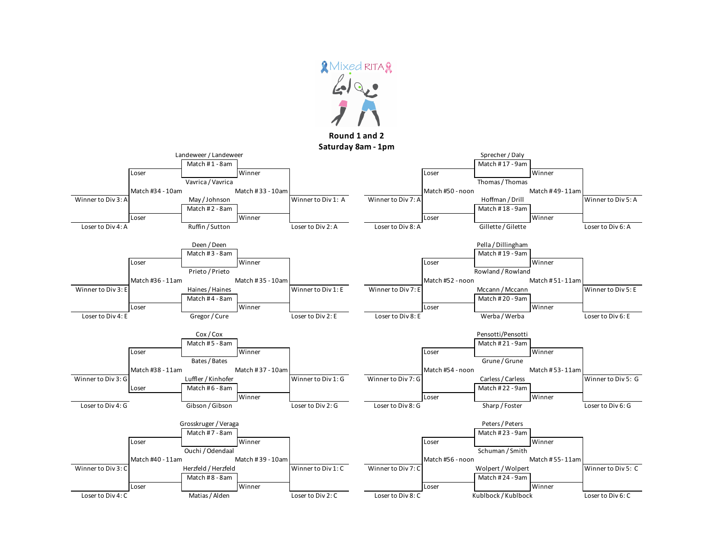

**Round 1 and 2**